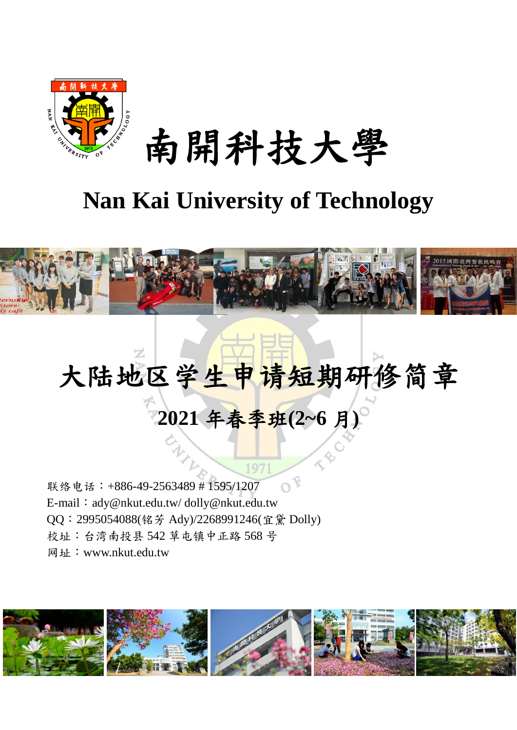

南開科技大學

# **Nan Kai University of Technology**



# 大陆地区学生申请短期研修简章 **2021** 年春季班**(2~6** 月**)**

 $\overline{O}$ 联络电话:+886-49-2563489 # 1595/1207 E-mail: ady@nkut.edu.tw/dolly@nkut.edu.tw QQ:2995054088(铭芳 Ady)/2268991246(宜黛 Dolly) 校址:台湾南投县 542 草屯镇中正路 568 号 网址:www.nkut.edu.tw

SI,

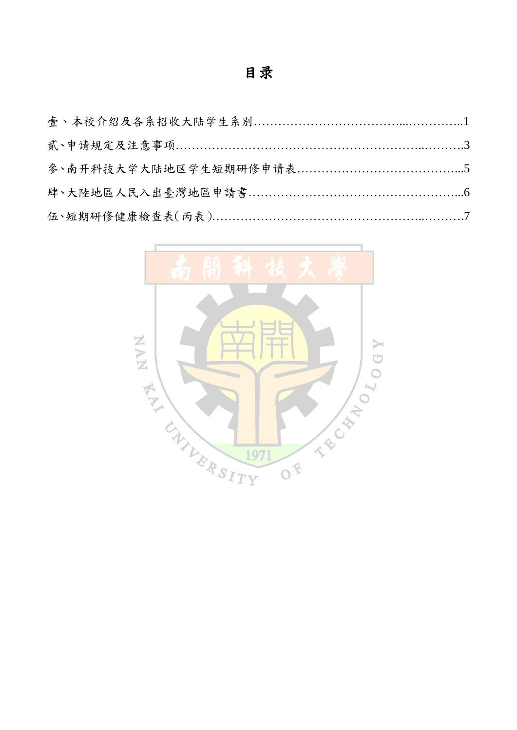# 目录

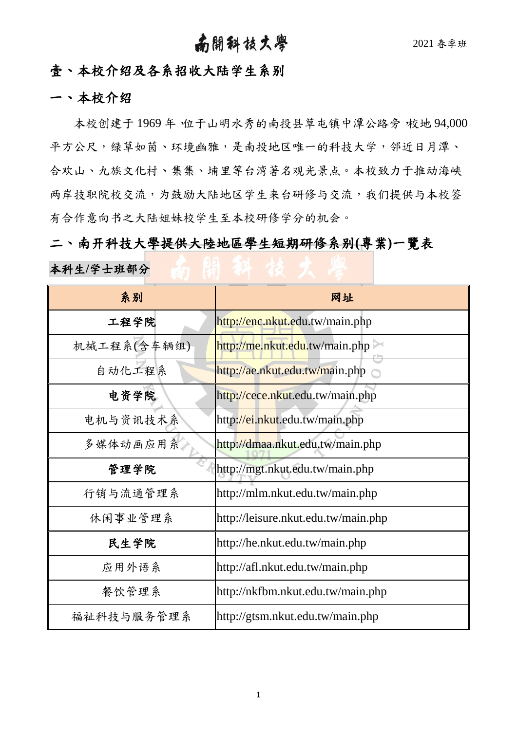## 南開科技大學 2021 春季班

### 壹、本校介绍及各系招收大陆学生系别

#### 一、本校介绍

本校创建于1969年,位于山明水秀的南投县草屯镇中潭公路旁,校地 94,000 平方公尺,绿草如茵、环境幽雅,是南投地区唯一的科技大学,邻近日月潭、 合欢山、九族文化村、集集、埔里等台湾著名观光景点。本校致力于推动海峡 两岸技职院校交流,为鼓励大陆地区学生来台研修与交流,我们提供与本校签 有合作意向书之大陆姐妹校学生至本校研修学分的机会。

二、南开科技大學提供大陸地區學生短期研修系别**(**專業**)**一覽表 本科生**/**学士班部分

| 系别          | 网址                                  |
|-------------|-------------------------------------|
| 工程学院        | http://enc.nkut.edu.tw/main.php     |
| 机械工程系(含车辆组) | http://me.nkut.edu.tw/main.php      |
| 自动化工程系      | http://ae.nkut.edu.tw/main.php      |
| 电资学院        | http://cece.nkut.edu.tw/main.php    |
| 电机与资讯技术系    | http://ei.nkut.edu.tw/main.php      |
| 多媒体动画应用系    | http://dmaa.nkut.edu.tw/main.php    |
| 管理学院        | http://mgt.nkut.edu.tw/main.php     |
| 行销与流通管理系    | http://mlm.nkut.edu.tw/main.php     |
| 休闲事业管理系     | http://leisure.nkut.edu.tw/main.php |
| 民生学院        | http://he.nkut.edu.tw/main.php      |
| 应用外语系       | http://afl.nkut.edu.tw/main.php     |
| 餐饮管理系       | http://nkfbm.nkut.edu.tw/main.php   |
| 福祉科技与服务管理系  | http://gtsm.nkut.edu.tw/main.php    |

1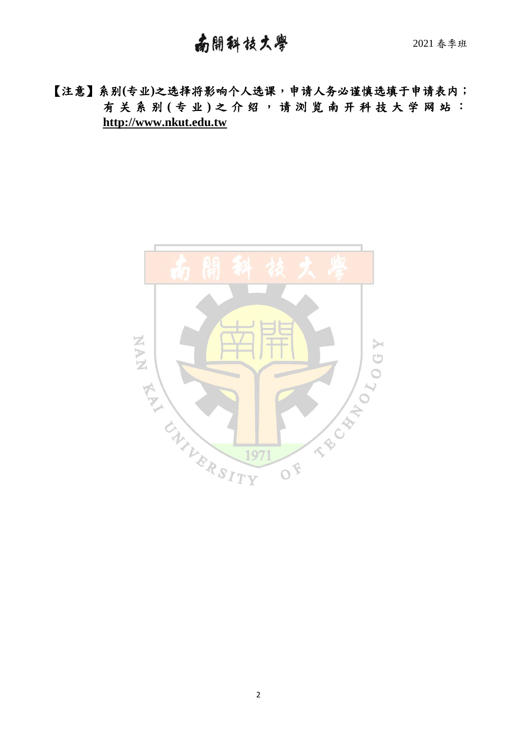【注意】系别**(**专业**)**之选择将影响个人选课,申请人务必谨慎选填于申请表内; 有关系别 **(** 专 业 **)** 之 介 绍 , 请 浏 览 南 开 科 技 大 学 网 站 : **http://www.nkut.edu.tw**

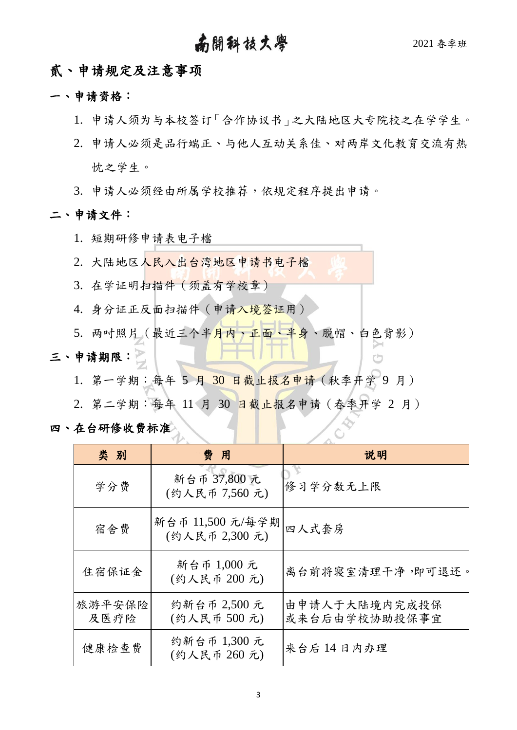## 南開科技大學 2021 春季班

rh

#### 贰、申请规定及注意事项

- 一、申请资格:
	- 1. 申请人须为与本校签订「合作协议书」之大陆地区大专院校之在学学生。
	- 2. 申请人必须是品行端正、与他人互动关系佳、对两岸文化教育交流有热 忱之学生。
	- 3. 申请人必须经由所属学校推荐,依规定程序提出申请。

#### 二、申请文件:

- 1. 短期研修申请表电子檔
- 2. 大陆地区人民入出台湾地区申请书电子檔
- 3. 在学证明扫描件(须盖有学校章)
- 4. 身分证正反面扫描件(申请入境答证用)
- 5. 两吋照片 (最近三个半月内、正面、半身、脱帽、白色背影)

## 三、申请期限:

- 1. 第一学期:每年 5 月 30 日截止报名申请(秋季开学 9 月)
- 2. 第二学期:每年 11 月 30 日截止报名申请(春季开学 2 月)

四、在台研修收费标准

| 类别             | 费用                                | 说明                             |
|----------------|-----------------------------------|--------------------------------|
| 学分费            | 新台币 37,800 元<br>(约人民币 7,560元)     | 修习学分数无上限                       |
| 宿舍费            | 新台币 11,500 元/每学期<br>(约人民币 2,300元) | 四人式套房                          |
| 住宿保证金          | 新台币 1,000 元<br>(约人民币 200元)        | 离台前将寝室清理干净,即可退还。               |
| 旅游平安保险<br>及医疗险 | 约新台币 2,500 元<br>(约人民币 500元)       | 由申请人于大陆境内完成投保<br>或来台后由学校协助投保事宜 |
| 健康检查费          | 约新台币 1,300 元<br>(约人民币 260元)       | 来台后14日内办理                      |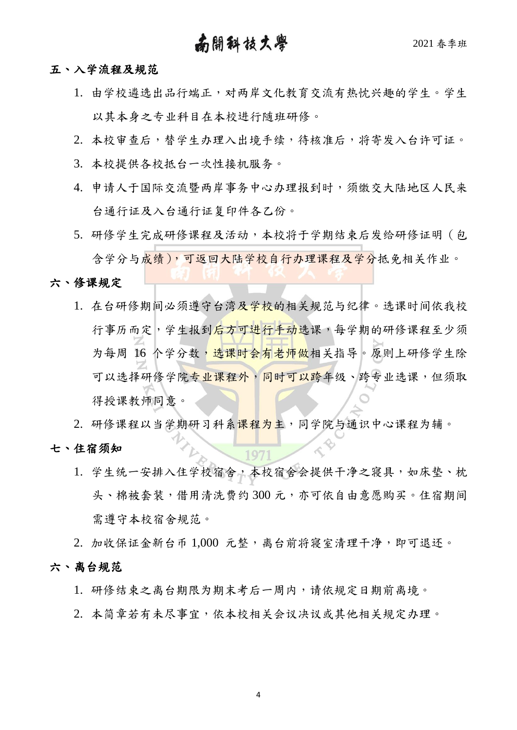## 南開科技大學 2021春季班

#### 五、入学流程及规范

- 1. 由学校遴选出品行端正,对两岸文化教育交流有热忱兴趣的学生。学生 以其本身之专业科目在本校进行随班研修。
- 2. 本校审查后,替学生办理入出境手续,待核准后,将寄发入台许可证。
- 3. 本校提供各校抵台一次性接机服务。
- 4. 申请人于国际交流暨两岸事务中心办理报到时,须缴交大陆地区人民来 台通行证及入台通行证复印件各乙份。
- 5. 研修学生完成研修课程及活动,本校将于学期结束后发给研修证明(包 含学分与成绩),可返回大陆学校自行办理课程及学分抵免相关作业。

#### 六、修课规定

1. 在台研修期间必须遵守台湾及学校的相关规范与纪律。选课时间依我校 行事历而定,学生报到后方可进行手动选课,每学期的研修课程至少须 为每周 16 个学分数, 选课时会有老师做相关指导。原则上研修学生除 可以选择研修学院专业课程外,同时可以跨年级、跨专业选课,但须取 得授课教师同意。

2. 研修课程以当学期研习科系<mark>课程为主</mark>,同学院与通识中心课程为辅。

#### 七、住宿须知

1. 学生统一安排入住学校宿舍,本校宿舍会提供干净之寝具,如床垫、枕 头、棉被套装,借用清洗费约 300 元,亦可依自由意愿购买。住宿期间 需遵守本校宿舍规范。

2. 加收保证金新台币 1,000 元整,离台前将寝室清理干净,即可退还。 六、离台规范

- 1. 研修结束之离台期限为期末考后一周内,请依规定日期前离境。
- 2. 本简章若有未尽事宜,依本校相关会议决议或其他相关规定办理。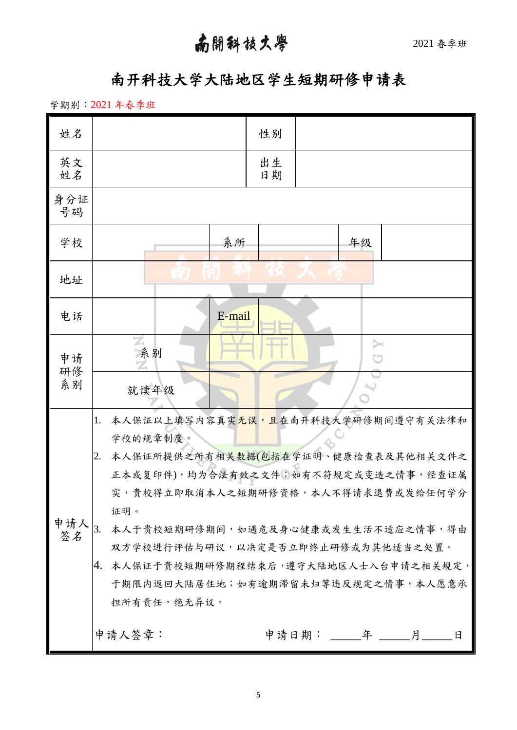## 南開科技大學 2021春季班

## 南开科技大学大陆地区学生短期研修申请表

学期别:2021 年春季班

| 姓名                | 性别                                                   |
|-------------------|------------------------------------------------------|
| 英文<br>姓名          | 出生<br>日期                                             |
| 身分证<br>号码         |                                                      |
| 学校                | 系所<br>年级                                             |
| 地址                |                                                      |
| 电话                | E-mail                                               |
| 申请<br>研修          | z<br>$\rightarrow$<br>系别                             |
| 系别                | 就读年级                                                 |
|                   | 本人保证以上填写内容真实元误,且在南开科技大学研修期间遵守有关法律和<br>1.<br>学校的规章制度。 |
|                   | 本人保证所提供之所有相关数据(包括在学证明、健康检查表及其他相关文件之<br>2.            |
|                   | 正本或复印件),均为合法有效之文件;如有不符规定或变造之情事,经查证属                  |
|                   | 实,贵校得立即取消本人之短期研修资格,本人不得请求退费或发给任何学分                   |
|                   | 证明。                                                  |
| 申请人 $_{3.}$<br>签名 | 本人于贵校短期研修期间,如遇危及身心健康或发生生活不适应之情事,得由                   |
|                   | 双方学校进行评估与研议,以决定是否立即终止研修或为其他适当之处置。                    |
|                   | 本人保证于贵校短期研修期程结束后,遵守大陆地区人士入台申请之相关规定,<br>4.            |
|                   | 于期限内返回大陆居住地;如有逾期滞留未归等违反规定之情事,本人愿意承                   |
|                   | 担所有责任,绝无异议。                                          |
|                   | 申请人签章:<br>日                                          |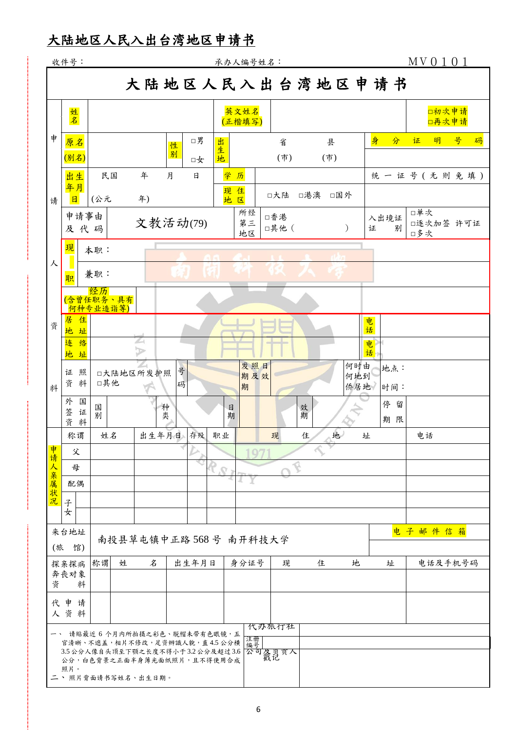## 大陆地区人民入出台湾地区申请书

|         | 收件号:                                                                                                                                                        |           |                      |                            |        |          |         | 承办人编号姓名:        |              |        |               |                   |                 | MV0101           |
|---------|-------------------------------------------------------------------------------------------------------------------------------------------------------------|-----------|----------------------|----------------------------|--------|----------|---------|-----------------|--------------|--------|---------------|-------------------|-----------------|------------------|
|         |                                                                                                                                                             |           |                      |                            |        |          |         |                 |              |        |               |                   | 大陆地区人民入出台湾地区申请书 |                  |
|         | 姓名                                                                                                                                                          |           |                      |                            |        |          |         | 英文姓名<br>(正楷填写)  |              |        |               |                   |                 | 口初次申请<br>口再次申请   |
| 申       | 原名<br>(别名)                                                                                                                                                  |           |                      |                            | 性<br>别 | □男<br>口女 | 出<br>生地 |                 | 省<br>(市)     |        | 县<br>(市)      |                   | 身<br>分          | 号<br>明<br>码<br>证 |
|         | 出生<br>年月                                                                                                                                                    | 民国        |                      | 年                          | 月      | 日        |         | 学历<br>现住        | □大陆          | □港澳    | □国外           |                   |                 | 统一证号(无则免填)       |
| 请       | $\mathbf{H}$<br>申请事由<br>及代码                                                                                                                                 | (公元       |                      | 年)<br>文教活动(79)             |        |          |         | 地区<br>所经<br>第三  | □香港<br>□其他 ( |        | $\mathcal{E}$ |                   | 入出境证<br>证<br>别  | 口单次<br>□逐次加签 许可证 |
| 人       | 现                                                                                                                                                           | 本职:       |                      |                            |        |          |         | 地区              |              |        |               |                   |                 | □多次              |
|         | 职<br>(含曾任职务、具有<br><u>- 何种专业造诣等)</u>                                                                                                                         | 兼职:<br>经历 |                      |                            |        |          |         |                 |              |        |               |                   |                 |                  |
| 资       | 居<br>住<br>地址<br>连<br>络                                                                                                                                      |           |                      | ∠                          |        |          |         |                 |              |        |               | 电<br>话<br>电       |                 |                  |
| 料       | 地址<br>照<br>证<br>资料                                                                                                                                          | □其他       | 口大陆地区所发护照            | $\triangleright$           | 号<br>码 |          |         | 发照日<br>期及效<br>期 |              |        |               | 何时由<br>何地到<br>侨居地 | 话<br>地点:<br>时间: |                  |
|         | 外<br>国<br>签<br>证<br>资<br>料                                                                                                                                  | 国<br>别    |                      |                            | 种<br>类 |          | 日       | 期               |              | 效<br>期 |               |                   | 停留<br>期限        |                  |
|         | 称谓<br>父                                                                                                                                                     | 姓名        |                      | 出生年月日                      |        | 存殁       | 职业      |                 | 现            | 住      | 地             | 址                 |                 | 电话               |
| 申请人亲属状况 | 母<br>配偶                                                                                                                                                     |           |                      |                            |        |          |         |                 |              |        |               |                   |                 |                  |
|         | 子<br>女                                                                                                                                                      |           |                      |                            |        |          |         |                 |              |        |               |                   |                 |                  |
| (旅      | 来台地址<br>馆)                                                                                                                                                  |           | 南投县草屯镇中正路568号 南开科技大学 |                            |        |          |         |                 |              |        |               |                   |                 | 电子邮件信箱           |
| 资       | 探亲探病<br>奔丧对象<br>料                                                                                                                                           | 称谓        | 姓                    | $\boldsymbol{\mathcal{Z}}$ |        | 出生年月日    |         | 身分证号            | 现            |        | 住             | 地                 | 址               | 电话及手机号码          |
|         | 代申请<br>人资料                                                                                                                                                  |           |                      |                            |        |          |         |                 | 代办旅行社        |        |               |                   |                 |                  |
|         | 一、 请贴最近 6 个月内所拍摄之彩色、脱帽未带有色眼镜,五<br>官清晰、不遮盖,相片不修改,足资辨識人貌,直4.5公分横<br>3.5公分人像自头顶至下颚之长度不得小于3.2公分及超过3.6<br>公分,白色背景之正面半身薄光面纸照片,且不得使用合成<br>照片。<br>二、照片背面请书写姓名、出生日期。 |           |                      |                            |        |          |         | 注册<br>编号        | 公司暴负责人       |        |               |                   |                 |                  |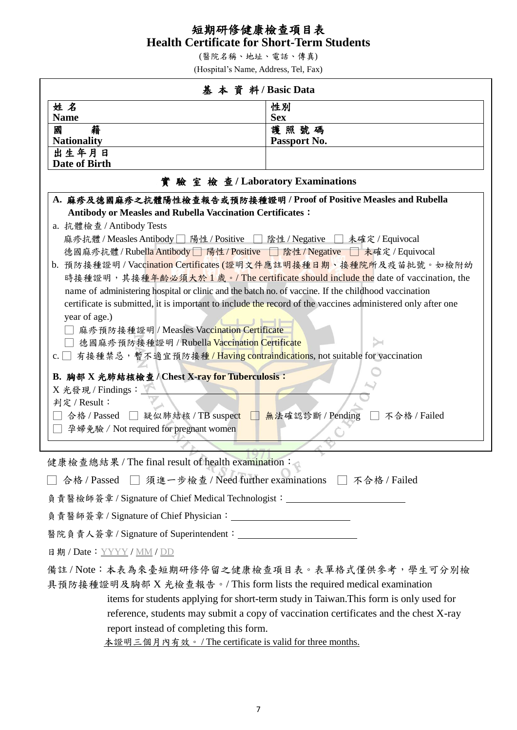#### 短期研修健康檢查項目表 **Health Certificate for Short-Term Students**

(醫院名稱、地址、電話、傳真)

(Hospital's Name, Address, Tel, Fax)

|                                                                                                             | 基本資料/Basic Data                                                                 |  |  |  |  |
|-------------------------------------------------------------------------------------------------------------|---------------------------------------------------------------------------------|--|--|--|--|
| 姓名                                                                                                          | 性別                                                                              |  |  |  |  |
| <b>Name</b>                                                                                                 | <b>Sex</b>                                                                      |  |  |  |  |
| 籍<br>國<br><b>Nationality</b>                                                                                | 護照號碼<br>Passport No.                                                            |  |  |  |  |
| 出生年月日                                                                                                       |                                                                                 |  |  |  |  |
| Date of Birth                                                                                               |                                                                                 |  |  |  |  |
| 實驗室檢查/Laboratory Examinations                                                                               |                                                                                 |  |  |  |  |
| A. 麻疹及德國麻疹之抗體陽性檢查報告或預防接種證明 / Proof of Positive Measles and Rubella                                          |                                                                                 |  |  |  |  |
| <b>Antibody or Measles and Rubella Vaccination Certificates:</b>                                            |                                                                                 |  |  |  |  |
| a. 抗體檢查 / Antibody Tests                                                                                    |                                                                                 |  |  |  |  |
| 麻疹抗體/Measles Antibody   陽性/Positive   陰性/Negative   未確定/Equivocal                                           |                                                                                 |  |  |  |  |
| 德國麻疹抗體/Rubella Antibody   陽性/Positive   陰性/Negative   未確定/Equivocal                                         | b. 預防接種證明 / Vacc <mark>ination Certific</mark> ates (證明文件應註明接種日期、接種院所及疫苗批號。如檢附幼 |  |  |  |  |
|                                                                                                             | 時接種證明,其接種年齡必須大於1歲。/The certificate should include the date of vaccination, the  |  |  |  |  |
| name of administering hospital or clinic and the batch no. of vaccine. If the childhood vaccination         |                                                                                 |  |  |  |  |
| certificate is submitted, it is important to include the record of the vaccines administered only after one |                                                                                 |  |  |  |  |
| year of age.)                                                                                               |                                                                                 |  |  |  |  |
| 麻疹預防接種證明 / Measles Vaccination Certificate                                                                  |                                                                                 |  |  |  |  |
| 德國麻疹預防接種證明 / Rubella Vaccination Certificate                                                                |                                                                                 |  |  |  |  |
| 有接種禁忌,暫不適宜預防接種/Having contraindications, not suitable for vaccination<br>c.                                 |                                                                                 |  |  |  |  |
| B. 胸部 X 光肺結核檢查 / Chest X-ray for Tuberculosis:                                                              |                                                                                 |  |  |  |  |
| X 光發現 / Findings:                                                                                           |                                                                                 |  |  |  |  |
| 判定 / Result:                                                                                                |                                                                                 |  |  |  |  |
| 合格 / Passed □ 疑似肺結核 / TB suspect □ 無法確認診斷 / Pending □                                                       | 不合格/Failed                                                                      |  |  |  |  |
| 孕婦免驗 / Not required for pregnant women                                                                      |                                                                                 |  |  |  |  |
|                                                                                                             |                                                                                 |  |  |  |  |
| 健康檢查總結果 / The final result of health examination:                                                           |                                                                                 |  |  |  |  |
| 合格 / Passed □ 須進一步檢查 / Need further examinations □ 不合格 / Failed                                             |                                                                                 |  |  |  |  |
| 負責醫檢師簽章 / Signature of Chief Medical Technologist:______________________________                            |                                                                                 |  |  |  |  |
|                                                                                                             |                                                                                 |  |  |  |  |
|                                                                                                             |                                                                                 |  |  |  |  |
| 日期 / Date: YYYY / MM / DD                                                                                   |                                                                                 |  |  |  |  |
| 備註/Note:本表為來臺短期研修停留之健康檢查項目表。表單格式僅供參考,學生可分別檢                                                                 |                                                                                 |  |  |  |  |
| 具預防接種證明及胸部 X 光檢查報告。/ This form lists the required medical examination                                       |                                                                                 |  |  |  |  |
|                                                                                                             |                                                                                 |  |  |  |  |

 items for students applying for short-term study in Taiwan.This form is only used for reference, students may submit a copy of vaccination certificates and the chest X-ray report instead of completing this form.

本證明三個月內有效。 / The certificate is valid for three months.